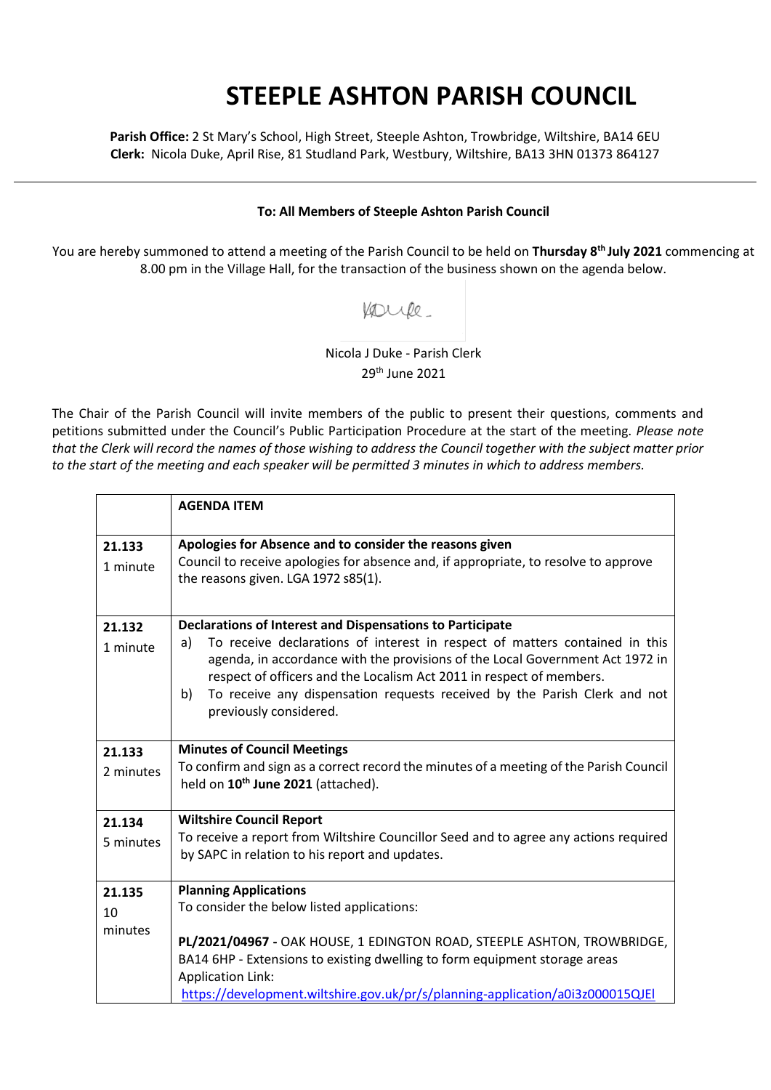## **STEEPLE ASHTON PARISH COUNCIL**

**Parish Office:** 2 St Mary's School, High Street, Steeple Ashton, Trowbridge, Wiltshire, BA14 6EU **Clerk:** Nicola Duke, April Rise, 81 Studland Park, Westbury, Wiltshire, BA13 3HN 01373 864127

## **To: All Members of Steeple Ashton Parish Council**

You are hereby summoned to attend a meeting of the Parish Council to be held on **Thursday 8th July 2021** commencing at 8.00 pm in the Village Hall, for the transaction of the business shown on the agenda below.

Koupe.

Nicola J Duke - Parish Clerk 29th June 2021

The Chair of the Parish Council will invite members of the public to present their questions, comments and petitions submitted under the Council's Public Participation Procedure at the start of the meeting. *Please note that the Clerk will record the names of those wishing to address the Council together with the subject matter prior to the start of the meeting and each speaker will be permitted 3 minutes in which to address members.*

|                         | <b>AGENDA ITEM</b>                                                                                                                                                                                                                                                                                                                                                                                                   |
|-------------------------|----------------------------------------------------------------------------------------------------------------------------------------------------------------------------------------------------------------------------------------------------------------------------------------------------------------------------------------------------------------------------------------------------------------------|
| 21.133<br>1 minute      | Apologies for Absence and to consider the reasons given<br>Council to receive apologies for absence and, if appropriate, to resolve to approve<br>the reasons given. LGA 1972 s85(1).                                                                                                                                                                                                                                |
| 21.132<br>1 minute      | Declarations of Interest and Dispensations to Participate<br>To receive declarations of interest in respect of matters contained in this<br>a)<br>agenda, in accordance with the provisions of the Local Government Act 1972 in<br>respect of officers and the Localism Act 2011 in respect of members.<br>To receive any dispensation requests received by the Parish Clerk and not<br>b)<br>previously considered. |
| 21.133<br>2 minutes     | <b>Minutes of Council Meetings</b><br>To confirm and sign as a correct record the minutes of a meeting of the Parish Council<br>held on 10 <sup>th</sup> June 2021 (attached).                                                                                                                                                                                                                                       |
| 21.134<br>5 minutes     | <b>Wiltshire Council Report</b><br>To receive a report from Wiltshire Councillor Seed and to agree any actions required<br>by SAPC in relation to his report and updates.                                                                                                                                                                                                                                            |
| 21.135<br>10<br>minutes | <b>Planning Applications</b><br>To consider the below listed applications:<br>PL/2021/04967 - OAK HOUSE, 1 EDINGTON ROAD, STEEPLE ASHTON, TROWBRIDGE,<br>BA14 6HP - Extensions to existing dwelling to form equipment storage areas<br><b>Application Link:</b><br>https://development.wiltshire.gov.uk/pr/s/planning-application/a0i3z000015QJEI                                                                    |